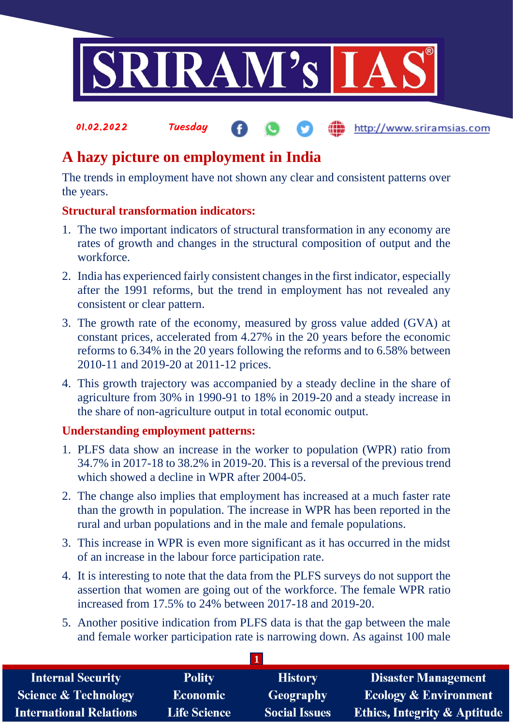

**fin** http://www.sriramsias.com

# **A hazy picture on employment in India**

The trends in employment have not shown any clear and consistent patterns over the years.

#### **Structural transformation indicators:**

01.02.2022 Tuesday

- 1. The two important indicators of structural transformation in any economy are rates of growth and changes in the structural composition of output and the workforce.
- 2. India has experienced fairly consistent changes in the first indicator, especially after the 1991 reforms, but the trend in employment has not revealed any consistent or clear pattern.
- 3. The growth rate of the economy, measured by gross value added (GVA) at constant prices, accelerated from 4.27% in the 20 years before the economic reforms to 6.34% in the 20 years following the reforms and to 6.58% between 2010-11 and 2019-20 at 2011-12 prices.
- 4. This growth trajectory was accompanied by a steady decline in the share of agriculture from 30% in 1990-91 to 18% in 2019-20 and a steady increase in the share of non-agriculture output in total economic output.

## **Understanding employment patterns:**

- 1. PLFS data show an increase in the worker to population (WPR) ratio from 34.7% in 2017-18 to 38.2% in 2019-20. This is a reversal of the previous trend which showed a decline in WPR after 2004-05.
- 2. The change also implies that employment has increased at a much faster rate than the growth in population. The increase in WPR has been reported in the rural and urban populations and in the male and female populations.
- 3. This increase in WPR is even more significant as it has occurred in the midst of an increase in the labour force participation rate.
- 4. It is interesting to note that the data from the PLFS surveys do not support the assertion that women are going out of the workforce. The female WPR ratio increased from 17.5% to 24% between 2017-18 and 2019-20.
- 5. Another positive indication from PLFS data is that the gap between the male and female worker participation rate is narrowing down. As against 100 male

**1**

| <b>Internal Security</b>        | <b>Polity</b>       | <b>History</b>       | <b>Disaster Management</b>              |  |  |  |
|---------------------------------|---------------------|----------------------|-----------------------------------------|--|--|--|
| <b>Science &amp; Technology</b> | <b>Economic</b>     | Geography            | <b>Ecology &amp; Environment</b>        |  |  |  |
| <b>International Relations</b>  | <b>Life Science</b> | <b>Social Issues</b> | <b>Ethics, Integrity &amp; Aptitude</b> |  |  |  |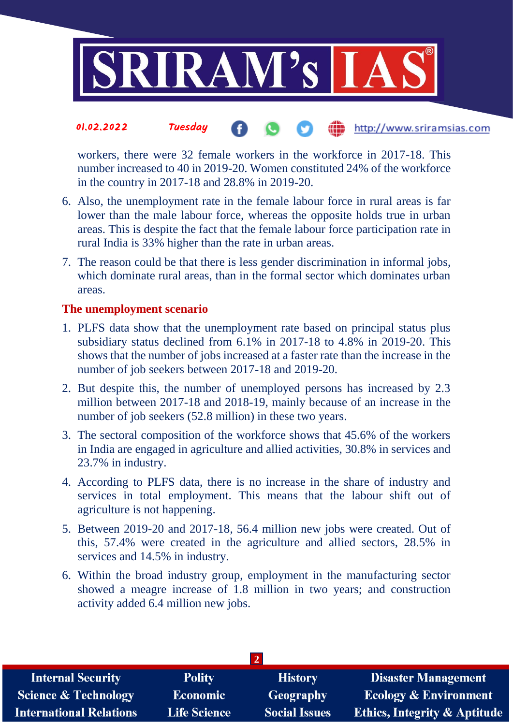

#### 01.02.2022 Tuesday http://www.sriramsias.com

workers, there were 32 female workers in the workforce in 2017-18. This number increased to 40 in 2019-20. Women constituted 24% of the workforce in the country in 2017-18 and 28.8% in 2019-20.

- 6. Also, the unemployment rate in the female labour force in rural areas is far lower than the male labour force, whereas the opposite holds true in urban areas. This is despite the fact that the female labour force participation rate in rural India is 33% higher than the rate in urban areas.
- 7. The reason could be that there is less gender discrimination in informal jobs, which dominate rural areas, than in the formal sector which dominates urban areas.

#### **The unemployment scenario**

- 1. PLFS data show that the unemployment rate based on principal status plus subsidiary status declined from 6.1% in 2017-18 to 4.8% in 2019-20. This shows that the number of jobs increased at a faster rate than the increase in the number of job seekers between 2017-18 and 2019-20.
- 2. But despite this, the number of unemployed persons has increased by 2.3 million between 2017-18 and 2018-19, mainly because of an increase in the number of job seekers (52.8 million) in these two years.
- 3. The sectoral composition of the workforce shows that 45.6% of the workers in India are engaged in agriculture and allied activities, 30.8% in services and 23.7% in industry.
- 4. According to PLFS data, there is no increase in the share of industry and services in total employment. This means that the labour shift out of agriculture is not happening.
- 5. Between 2019-20 and 2017-18, 56.4 million new jobs were created. Out of this, 57.4% were created in the agriculture and allied sectors, 28.5% in services and 14.5% in industry.
- 6. Within the broad industry group, employment in the manufacturing sector showed a meagre increase of 1.8 million in two years; and construction activity added 6.4 million new jobs.

| <b>Internal Security</b>        | <b>Polity</b>       | <b>History</b>       | <b>Disaster Management</b>              |  |  |  |
|---------------------------------|---------------------|----------------------|-----------------------------------------|--|--|--|
| <b>Science &amp; Technology</b> | <b>Economic</b>     | Geography            | <b>Ecology &amp; Environment</b>        |  |  |  |
| <b>International Relations</b>  | <b>Life Science</b> | <b>Social Issues</b> | <b>Ethics, Integrity &amp; Aptitude</b> |  |  |  |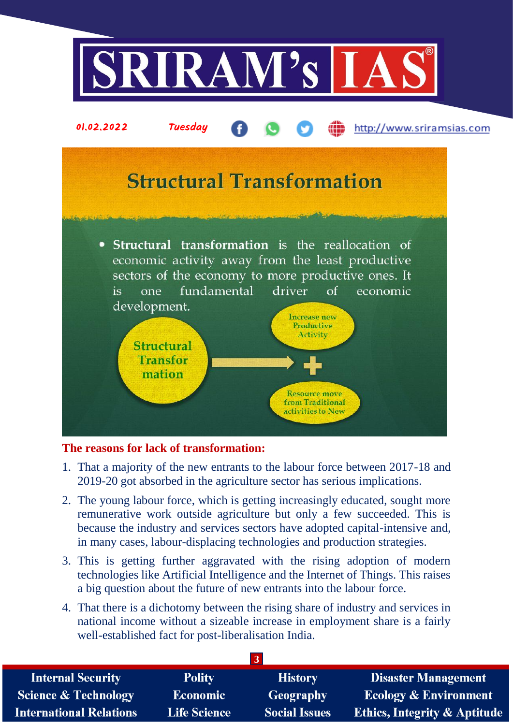

## **The reasons for lack of transformation:**

- 1. That a majority of the new entrants to the labour force between 2017-18 and 2019-20 got absorbed in the agriculture sector has serious implications.
- 2. The young labour force, which is getting increasingly educated, sought more remunerative work outside agriculture but only a few succeeded. This is because the industry and services sectors have adopted capital-intensive and, in many cases, labour-displacing technologies and production strategies.
- 3. This is getting further aggravated with the rising adoption of modern technologies like Artificial Intelligence and the Internet of Things. This raises a big question about the future of new entrants into the labour force.
- 4. That there is a dichotomy between the rising share of industry and services in national income without a sizeable increase in employment share is a fairly well-established fact for post-liberalisation India.

| <b>Internal Security</b>        | <b>Polity</b>       | <b>History</b>       | <b>Disaster Management</b>              |  |  |  |
|---------------------------------|---------------------|----------------------|-----------------------------------------|--|--|--|
| <b>Science &amp; Technology</b> | <b>Economic</b>     | Geography            | <b>Ecology &amp; Environment</b>        |  |  |  |
| <b>International Relations</b>  | <b>Life Science</b> | <b>Social Issues</b> | <b>Ethics, Integrity &amp; Aptitude</b> |  |  |  |